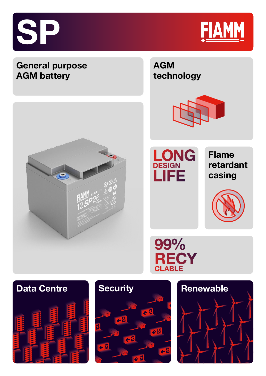



# **AGM General purpose technology AGM battery** LONG<br>DESIGN<br>LIFE **Flame**  retardant **casing** Flooded 99% **RECY**